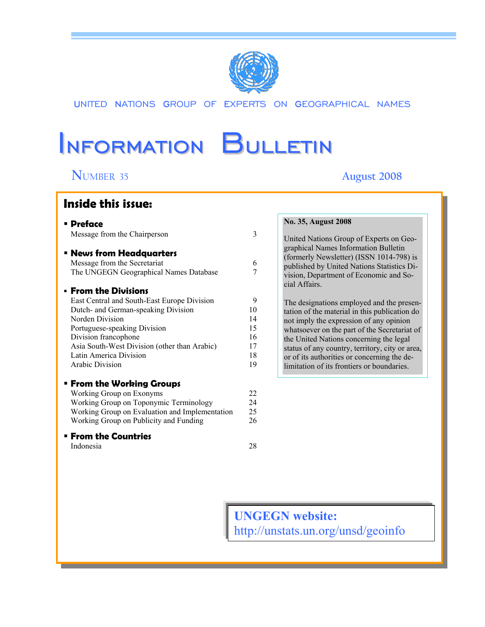

UNITED NATIONS GROUP OF EXPERTS ON GEOGRAPHICAL NAMES

# Information Bulletin

l

# **N**UMBER 35 **August 2008**

# **Inside this issue:**

| <b>• Preface</b>                                                                                          |                     | No. 35, August 2008                                                                                                            |
|-----------------------------------------------------------------------------------------------------------|---------------------|--------------------------------------------------------------------------------------------------------------------------------|
| Message from the Chairperson                                                                              | 3                   | United Nations Group of Experts on Geo-                                                                                        |
| <b>E</b> News from Headquarters<br>Message from the Secretariat<br>The UNGEGN Geographical Names Database | 6<br>$\overline{7}$ | graphical Names Information Bulletin<br>(formerly Newsletter) (ISSN 1014-798) is<br>published by United Nations Statistics Di- |
| <b>Erom the Divisions</b>                                                                                 |                     | vision, Department of Economic and So-<br>cial Affairs.                                                                        |
| East Central and South-East Europe Division                                                               | 9                   | The designations employed and the presen-                                                                                      |
| Dutch- and German-speaking Division                                                                       | 10                  | tation of the material in this publication do                                                                                  |
| Norden Division                                                                                           | 14                  | not imply the expression of any opinion                                                                                        |
| Portuguese-speaking Division                                                                              | 15                  | whatsoever on the part of the Secretariat of                                                                                   |
| Division francophone                                                                                      | 16                  | the United Nations concerning the legal                                                                                        |
| Asia South-West Division (other than Arabic)                                                              | 17                  | status of any country, territory, city or area,                                                                                |
| Latin America Division                                                                                    | 18                  | or of its authorities or concerning the de-                                                                                    |
| Arabic Division                                                                                           | 19                  | limitation of its frontiers or boundaries.                                                                                     |
| <b>Erom the Working Groups</b>                                                                            |                     |                                                                                                                                |
| Working Group on Exonyms                                                                                  | 22                  |                                                                                                                                |
| Working Group on Toponymic Terminology                                                                    | 24                  |                                                                                                                                |
| Working Group on Evaluation and Implementation                                                            | 25                  |                                                                                                                                |
| Working Group on Publicity and Funding                                                                    | 26                  |                                                                                                                                |
| <b>From the Countries</b>                                                                                 |                     |                                                                                                                                |

Indonesia 28

**UNGEGN website:**  http://unstats.un.org/unsd/geoinfo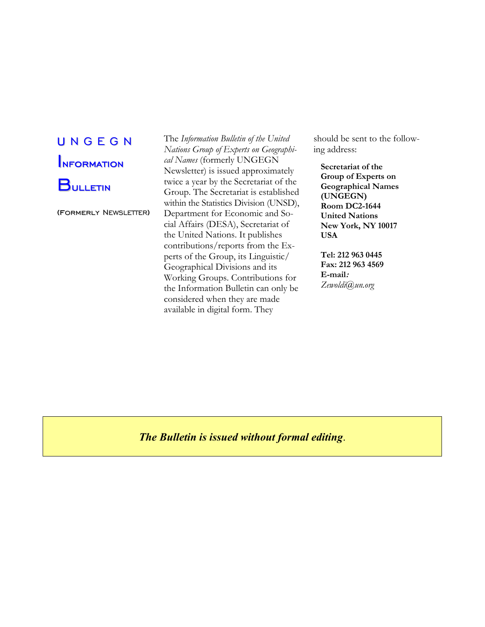# U N G E G N **INFORMATION BULLETIN**

(formerly NEWSLETTER)

The *Information Bulletin of the United Nations Group of Experts on Geographical Names* (formerly UNGEGN Newsletter) is issued approximately twice a year by the Secretariat of the Group. The Secretariat is established within the Statistics Division (UNSD), Department for Economic and Social Affairs (DESA), Secretariat of the United Nations. It publishes contributions/reports from the Experts of the Group, its Linguistic/ Geographical Divisions and its Working Groups. Contributions for the Information Bulletin can only be considered when they are made available in digital form. They

should be sent to the following address:

**Secretariat of the Group of Experts on Geographical Names (UNGEGN) Room DC2-1644 United Nations New York, NY 10017 USA** 

**Tel: 212 963 0445 Fax: 212 963 4569 E-mail:** *Zewoldi@un.org* 

*The Bulletin is issued without formal editing*.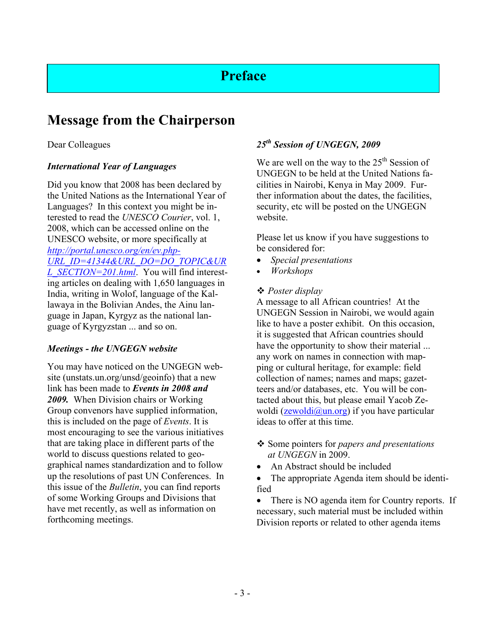# **Preface**

# **Message from the Chairperson**

# Dear Colleagues

# *International Year of Languages*

Did you know that 2008 has been declared by the United Nations as the International Year of Languages? In this context you might be interested to read the *UNESCO Courier*, vol. 1, 2008, which can be accessed online on the UNESCO website, or more specifically at *http://portal.unesco.org/en/ev.php-URL\_ID=41344&URL\_DO=DO\_TOPIC&UR L\_SECTION=201.html*. You will find interesting articles on dealing with 1,650 languages in India, writing in Wolof, language of the Kallawaya in the Bolivian Andes, the Ainu language in Japan, Kyrgyz as the national language of Kyrgyzstan ... and so on.

# *Meetings - the UNGEGN website*

You may have noticed on the UNGEGN website (unstats.un.org/unsd/geoinfo) that a new link has been made to *Events in 2008 and 2009.* When Division chairs or Working Group convenors have supplied information, this is included on the page of *Events*. It is most encouraging to see the various initiatives that are taking place in different parts of the world to discuss questions related to geographical names standardization and to follow up the resolutions of past UN Conferences. In this issue of the *Bulletin*, you can find reports of some Working Groups and Divisions that have met recently, as well as information on forthcoming meetings.

# *25th Session of UNGEGN, 2009*

We are well on the way to the  $25<sup>th</sup>$  Session of UNGEGN to be held at the United Nations facilities in Nairobi, Kenya in May 2009. Further information about the dates, the facilities, security, etc will be posted on the UNGEGN website.

Please let us know if you have suggestions to be considered for:

- *Special presentations*
- *Workshops*

# *Poster display*

A message to all African countries! At the UNGEGN Session in Nairobi, we would again like to have a poster exhibit. On this occasion, it is suggested that African countries should have the opportunity to show their material ... any work on names in connection with mapping or cultural heritage, for example: field collection of names; names and maps; gazetteers and/or databases, etc. You will be contacted about this, but please email Yacob Zewoldi ( $z$ ewoldi $\left(\frac{\partial \mu n \cdot \partial \mathbf{r}}{\partial y}\right)$  if you have particular ideas to offer at this time.

- Some pointers for *papers and presentations at UNGEGN* in 2009.
- An Abstract should be included
- The appropriate Agenda item should be identified

• There is NO agenda item for Country reports. If necessary, such material must be included within Division reports or related to other agenda items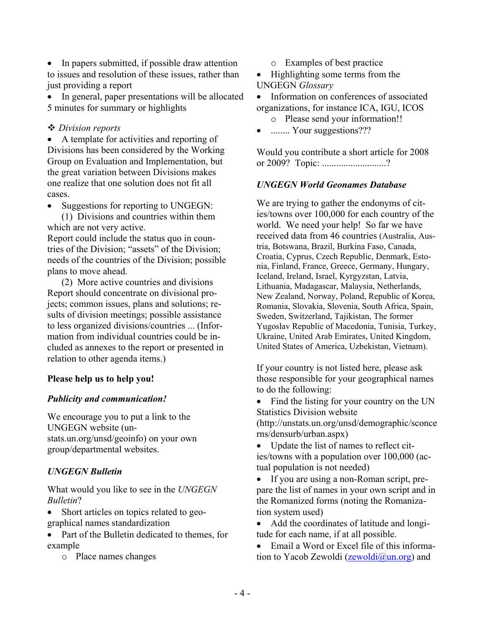• In papers submitted, if possible draw attention to issues and resolution of these issues, rather than just providing a report

• In general, paper presentations will be allocated 5 minutes for summary or highlights

# *Division reports*

• A template for activities and reporting of Divisions has been considered by the Working Group on Evaluation and Implementation, but the great variation between Divisions makes one realize that one solution does not fit all cases.

• Suggestions for reporting to UNGEGN:

 (1) Divisions and countries within them which are not very active.

Report could include the status quo in countries of the Division; "assets" of the Division; needs of the countries of the Division; possible plans to move ahead.

 (2) More active countries and divisions Report should concentrate on divisional projects; common issues, plans and solutions; results of division meetings; possible assistance to less organized divisions/countries ... (Information from individual countries could be included as annexes to the report or presented in relation to other agenda items.)

# **Please help us to help you!**

# *Publicity and communication!*

We encourage you to put a link to the UNGEGN website (unstats.un.org/unsd/geoinfo) on your own group/departmental websites.

# *UNGEGN Bulletin*

What would you like to see in the *UNGEGN Bulletin*?

• Short articles on topics related to geographical names standardization

- Part of the Bulletin dedicated to themes, for example
	- o Place names changes

o Examples of best practice

• Highlighting some terms from the UNGEGN *Glossary* 

• Information on conferences of associated organizations, for instance ICA, IGU, ICOS

- o Please send your information!!
- ......... Your suggestions???

Would you contribute a short article for 2008 or 2009? Topic: ...........................?

# *UNGEGN World Geonames Database*

We are trying to gather the endonyms of cities/towns over 100,000 for each country of the world. We need your help! So far we have received data from 46 countries (Australia, Austria, Botswana, Brazil, Burkina Faso, Canada, Croatia, Cyprus, Czech Republic, Denmark, Estonia, Finland, France, Greece, Germany, Hungary, Iceland, Ireland, Israel, Kyrgyzstan, Latvia, Lithuania, Madagascar, Malaysia, Netherlands, New Zealand, Norway, Poland, Republic of Korea, Romania, Slovakia, Slovenia, South Africa, Spain, Sweden, Switzerland, Tajikistan, The former Yugoslav Republic of Macedonia, Tunisia, Turkey, Ukraine, United Arab Emirates, United Kingdom, United States of America, Uzbekistan, Vietnam).

If your country is not listed here, please ask those responsible for your geographical names to do the following:

• Find the listing for your country on the UN Statistics Division website

(http://unstats.un.org/unsd/demographic/sconce rns/densurb/urban.aspx)

- Update the list of names to reflect cities/towns with a population over 100,000 (actual population is not needed)
- If you are using a non-Roman script, prepare the list of names in your own script and in the Romanized forms (noting the Romanization system used)

• Add the coordinates of latitude and longitude for each name, if at all possible.

• Email a Word or Excel file of this information to Yacob Zewoldi ( $z$ ewoldi $(\partial_\nu u n.\text{org})$  and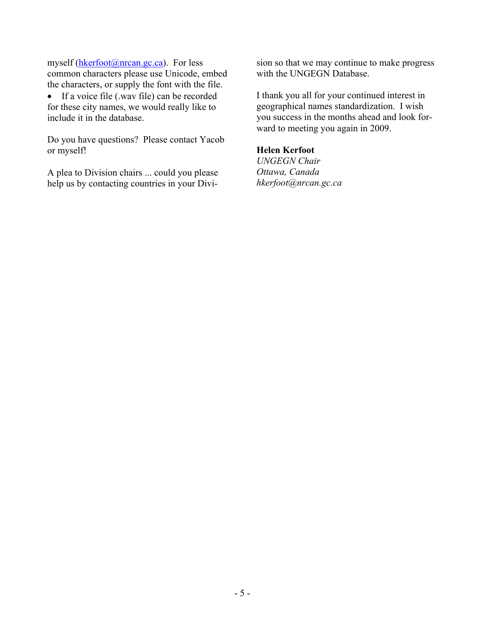myself (hkerfoot@nrcan.gc.ca). For less common characters please use Unicode, embed the characters, or supply the font with the file.

• If a voice file (.wav file) can be recorded for these city names, we would really like to include it in the database.

Do you have questions? Please contact Yacob or myself!

A plea to Division chairs ... could you please help us by contacting countries in your Division so that we may continue to make progress with the UNGEGN Database.

I thank you all for your continued interest in geographical names standardization. I wish you success in the months ahead and look forward to meeting you again in 2009.

#### **Helen Kerfoot**

*UNGEGN Chair Ottawa, Canada hkerfoot@nrcan.gc.ca*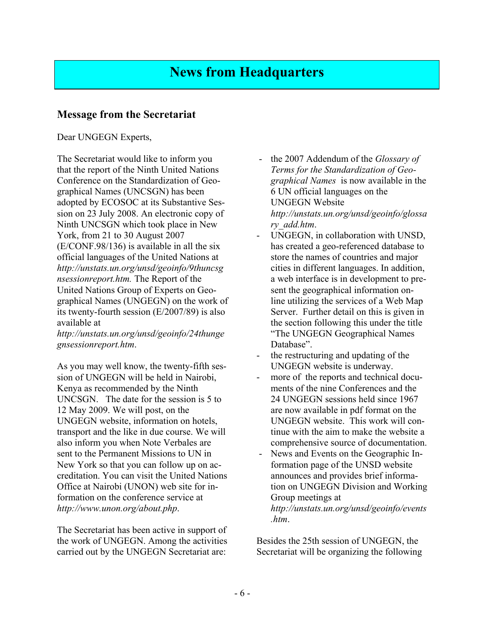# **News from Headquarters**

# **Message from the Secretariat**

# Dear UNGEGN Experts,

The Secretariat would like to inform you that the report of the Ninth United Nations Conference on the Standardization of Geographical Names (UNCSGN) has been adopted by ECOSOC at its Substantive Session on 23 July 2008. An electronic copy of Ninth UNCSGN which took place in New York, from 21 to 30 August 2007 (E/CONF.98/136) is available in all the six official languages of the United Nations at *http://unstats.un.org/unsd/geoinfo/9thuncsg nsessionreport.htm.* The Report of the United Nations Group of Experts on Geographical Names (UNGEGN) on the work of its twenty-fourth session (E/2007/89) is also available at

*http://unstats.un.org/unsd/geoinfo/24thunge gnsessionreport.htm*.

As you may well know, the twenty-fifth session of UNGEGN will be held in Nairobi, Kenya as recommended by the Ninth UNCSGN. The date for the session is 5 to 12 May 2009. We will post, on the UNGEGN website, information on hotels, transport and the like in due course. We will also inform you when Note Verbales are sent to the Permanent Missions to UN in New York so that you can follow up on accreditation. You can visit the United Nations Office at Nairobi (UNON) web site for information on the conference service at *http://www.unon.org/about.php*.

The Secretariat has been active in support of the work of UNGEGN. Among the activities carried out by the UNGEGN Secretariat are:

- the 2007 Addendum of the *Glossary of Terms for the Standardization of Geographical Names* is now available in the 6 UN official languages on the UNGEGN Website *http://unstats.un.org/unsd/geoinfo/glossa ry\_add.htm*.
- UNGEGN, in collaboration with UNSD, has created a geo-referenced database to store the names of countries and major cities in different languages. In addition, a web interface is in development to present the geographical information online utilizing the services of a Web Map Server. Further detail on this is given in the section following this under the title "The UNGEGN Geographical Names Database".
- the restructuring and updating of the UNGEGN website is underway.
- more of the reports and technical documents of the nine Conferences and the 24 UNGEGN sessions held since 1967 are now available in pdf format on the UNGEGN website. This work will continue with the aim to make the website a comprehensive source of documentation.
- News and Events on the Geographic Information page of the UNSD website announces and provides brief information on UNGEGN Division and Working Group meetings at *http://unstats.un.org/unsd/geoinfo/events .htm*.

Besides the 25th session of UNGEGN, the Secretariat will be organizing the following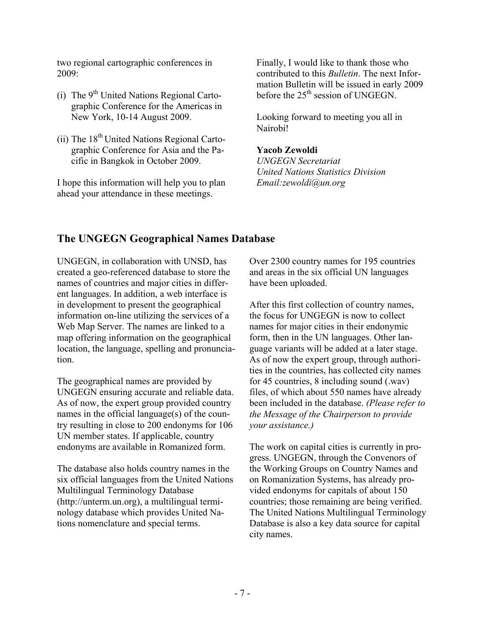two regional cartographic conferences in 2009:

- (i) The  $9<sup>th</sup>$  United Nations Regional Cartographic Conference for the Americas in New York, 10-14 August 2009.
- (ii) The  $18<sup>th</sup>$  United Nations Regional Cartographic Conference for Asia and the Pacific in Bangkok in October 2009.

I hope this information will help you to plan ahead your attendance in these meetings.

Finally, I would like to thank those who contributed to this *Bulletin*. The next Information Bulletin will be issued in early 2009 before the 25<sup>th</sup> session of UNGEGN.

Looking forward to meeting you all in Nairobi!

# **Yacob Zewoldi**

*UNGEGN Secretariat United Nations Statistics Division Email:zewoldi@un.org* 

# **The UNGEGN Geographical Names Database**

UNGEGN, in collaboration with UNSD, has created a geo-referenced database to store the names of countries and major cities in different languages. In addition, a web interface is in development to present the geographical information on-line utilizing the services of a Web Map Server. The names are linked to a map offering information on the geographical location, the language, spelling and pronunciation.

The geographical names are provided by UNGEGN ensuring accurate and reliable data. As of now, the expert group provided country names in the official language(s) of the country resulting in close to 200 endonyms for 106 UN member states. If applicable, country endonyms are available in Romanized form.

The database also holds country names in the six official languages from the United Nations Multilingual Terminology Database (http://unterm.un.org), a multilingual terminology database which provides United Nations nomenclature and special terms.

Over 2300 country names for 195 countries and areas in the six official UN languages have been uploaded.

After this first collection of country names, the focus for UNGEGN is now to collect names for major cities in their endonymic form, then in the UN languages. Other language variants will be added at a later stage. As of now the expert group, through authorities in the countries, has collected city names for 45 countries, 8 including sound (.wav) files, of which about 550 names have already been included in the database. *(Please refer to the Message of the Chairperson to provide your assistance.)* 

The work on capital cities is currently in progress. UNGEGN, through the Convenors of the Working Groups on Country Names and on Romanization Systems, has already provided endonyms for capitals of about 150 countries; those remaining are being verified. The United Nations Multilingual Terminology Database is also a key data source for capital city names.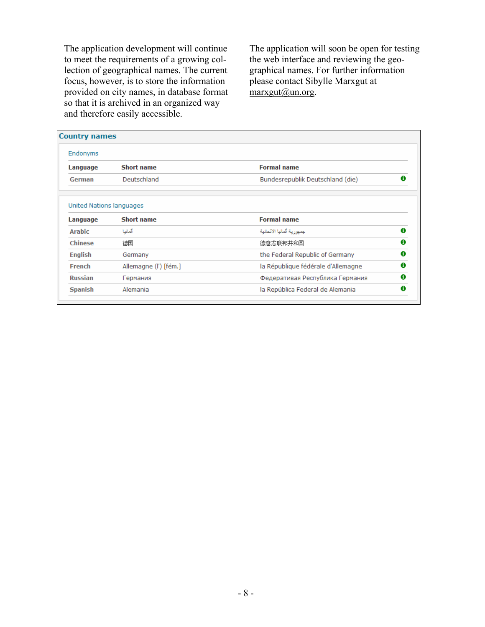The application development will continue to meet the requirements of a growing collection of geographical names. The current focus, however, is to store the information provided on city names, in database format so that it is archived in an organized way and therefore easily accessible.

The application will soon be open for testing the web interface and reviewing the geographical names. For further information please contact Sibylle Marxgut at  $maxgut(a)$ un.org.

|                                      | <b>Country names</b>  |                                    |        |
|--------------------------------------|-----------------------|------------------------------------|--------|
| Endonyms                             |                       |                                    |        |
| Language                             | <b>Short name</b>     | <b>Formal name</b>                 |        |
| German                               | Deutschland           | Bundesrepublik Deutschland (die)   | Ω      |
| United Nations languages<br>Language | <b>Short name</b>     | <b>Formal name</b>                 |        |
| <b>Arabic</b>                        | ألمانيا               | جمهور بة ألمانيا الإثحادية         | 0      |
|                                      |                       |                                    | 0      |
|                                      | 德国                    | 德意志联邦共和国                           |        |
| <b>Chinese</b>                       |                       |                                    |        |
|                                      | Germany               | the Federal Republic of Germany    |        |
| <b>English</b><br>French             | Allemagne (l') [fém.] | la République fédérale d'Allemagne | 0<br>0 |
| <b>Russian</b>                       | Германия              | Федеративая Республика Германия    | Ω      |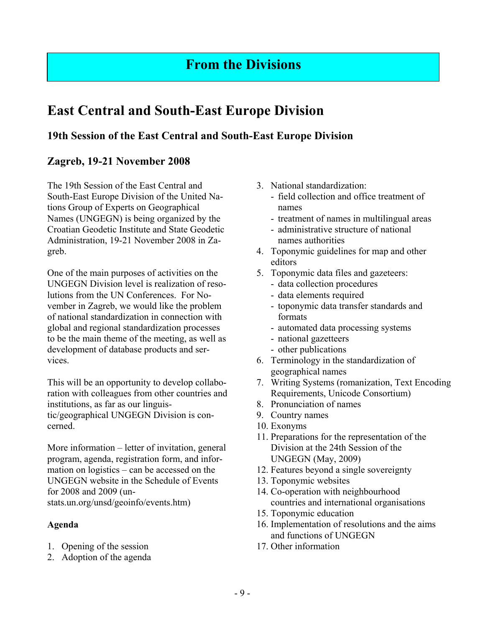# **From the Divisions**

# **East Central and South-East Europe Division**

# **19th Session of the East Central and South-East Europe Division**

# **Zagreb, 19-21 November 2008**

The 19th Session of the East Central and South-East Europe Division of the United Nations Group of Experts on Geographical Names (UNGEGN) is being organized by the Croatian Geodetic Institute and State Geodetic Administration, 19-21 November 2008 in Zagreb.

One of the main purposes of activities on the UNGEGN Division level is realization of resolutions from the UN Conferences. For November in Zagreb, we would like the problem of national standardization in connection with global and regional standardization processes to be the main theme of the meeting, as well as development of database products and services.

This will be an opportunity to develop collaboration with colleagues from other countries and institutions, as far as our linguistic/geographical UNGEGN Division is concerned.

More information – letter of invitation, general program, agenda, registration form, and information on logistics – can be accessed on the UNGEGN website in the Schedule of Events for 2008 and 2009 (unstats.un.org/unsd/geoinfo/events.htm)

# **Agenda**

- 1. Opening of the session
- 2. Adoption of the agenda
- 3. National standardization:
	- field collection and office treatment of names
	- treatment of names in multilingual areas
	- administrative structure of national names authorities
- 4. Toponymic guidelines for map and other editors
- 5. Toponymic data files and gazeteers:
	- data collection procedures
	- data elements required
	- toponymic data transfer standards and formats
	- automated data processing systems
	- national gazetteers
	- other publications
- 6. Terminology in the standardization of geographical names
- 7. Writing Systems (romanization, Text Encoding Requirements, Unicode Consortium)
- 8. Pronunciation of names
- 9. Country names
- 10. Exonyms
- 11. Preparations for the representation of the Division at the 24th Session of the UNGEGN (May, 2009)
- 12. Features beyond a single sovereignty
- 13. Toponymic websites
- 14. Co-operation with neighbourhood countries and international organisations
- 15. Toponymic education
- 16. Implementation of resolutions and the aims and functions of UNGEGN
- 17. Other information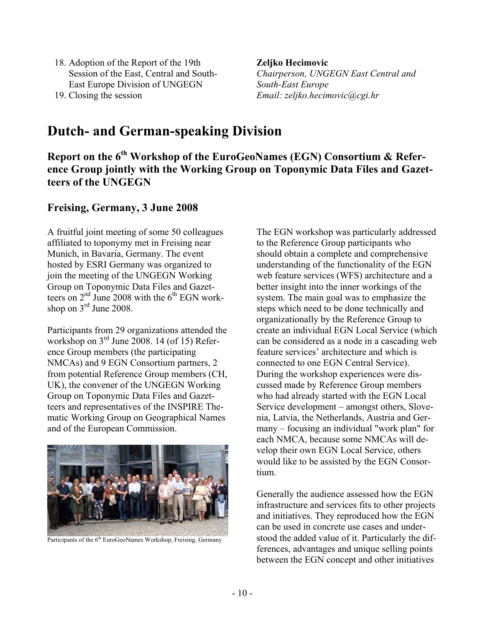- 18. Adoption of the Report of the 19th Session of the East, Central and South-East Europe Division of UNGEGN
- 19. Closing the session

**Zeljko Hecimovic**  *Chairperson, UNGEGN East Central and South-East Europe Email: zeljko.hecimovic@cgi.hr* 

# **Dutch- and German-speaking Division**

**Report on the 6th Workshop of the EuroGeoNames (EGN) Consortium & Reference Group jointly with the Working Group on Toponymic Data Files and Gazetteers of the UNGEGN** 

# **Freising, Germany, 3 June 2008**

A fruitful joint meeting of some 50 colleagues affiliated to toponymy met in Freising near Munich, in Bavaria, Germany. The event hosted by ESRI Germany was organized to join the meeting of the UNGEGN Working Group on Toponymic Data Files and Gazetteers on  $2<sup>nd</sup>$  June 2008 with the  $6<sup>th</sup>$  EGN workshop on  $3<sup>rd</sup>$  June 2008.

Participants from 29 organizations attended the workshop on 3<sup>rd</sup> June 2008. 14 (of 15) Reference Group members (the participating NMCAs) and 9 EGN Consortium partners, 2 from potential Reference Group members (CH, UK), the convener of the UNGEGN Working Group on Toponymic Data Files and Gazetteers and representatives of the INSPIRE Thematic Working Group on Geographical Names and of the European Commission.



Participants of the 6<sup>th</sup> EuroGeoNames Workshop, Freising, Germany

The EGN workshop was particularly addressed to the Reference Group participants who should obtain a complete and comprehensive understanding of the functionality of the EGN web feature services (WFS) architecture and a better insight into the inner workings of the system. The main goal was to emphasize the steps which need to be done technically and organizationally by the Reference Group to create an individual EGN Local Service (which can be considered as a node in a cascading web feature services' architecture and which is connected to one EGN Central Service). During the workshop experiences were discussed made by Reference Group members who had already started with the EGN Local Service development – amongst others, Slovenia, Latvia, the Netherlands, Austria and Germany – focusing an individual "work plan" for each NMCA, because some NMCAs will develop their own EGN Local Service, others would like to be assisted by the EGN Consortium.

Generally the audience assessed how the EGN infrastructure and services fits to other projects and initiatives. They reproduced how the EGN can be used in concrete use cases and understood the added value of it. Particularly the differences, advantages and unique selling points between the EGN concept and other initiatives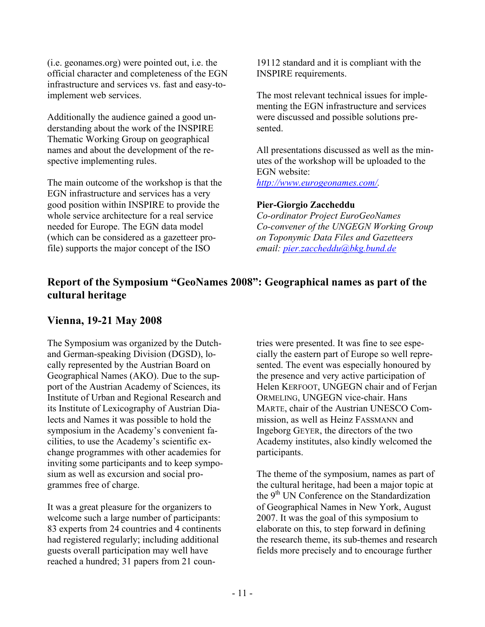(i.e. geonames.org) were pointed out, i.e. the official character and completeness of the EGN infrastructure and services vs. fast and easy-toimplement web services.

Additionally the audience gained a good understanding about the work of the INSPIRE Thematic Working Group on geographical names and about the development of the respective implementing rules.

The main outcome of the workshop is that the EGN infrastructure and services has a very good position within INSPIRE to provide the whole service architecture for a real service needed for Europe. The EGN data model (which can be considered as a gazetteer profile) supports the major concept of the ISO

19112 standard and it is compliant with the INSPIRE requirements.

The most relevant technical issues for implementing the EGN infrastructure and services were discussed and possible solutions presented.

All presentations discussed as well as the minutes of the workshop will be uploaded to the EGN website: *http://www.eurogeonames.com/.* 

# **Pier-Giorgio Zaccheddu**

*Co-ordinator Project EuroGeoNames Co-convener of the UNGEGN Working Group on Toponymic Data Files and Gazetteers email: pier.zaccheddu@bkg.bund.de*

# **Report of the Symposium "GeoNames 2008": Geographical names as part of the cultural heritage**

# **Vienna, 19-21 May 2008**

The Symposium was organized by the Dutchand German-speaking Division (DGSD), locally represented by the Austrian Board on Geographical Names (AKO). Due to the support of the Austrian Academy of Sciences, its Institute of Urban and Regional Research and its Institute of Lexicography of Austrian Dialects and Names it was possible to hold the symposium in the Academy's convenient facilities, to use the Academy's scientific exchange programmes with other academies for inviting some participants and to keep symposium as well as excursion and social programmes free of charge.

It was a great pleasure for the organizers to welcome such a large number of participants: 83 experts from 24 countries and 4 continents had registered regularly; including additional guests overall participation may well have reached a hundred; 31 papers from 21 countries were presented. It was fine to see especially the eastern part of Europe so well represented. The event was especially honoured by the presence and very active participation of Helen KERFOOT, UNGEGN chair and of Ferjan ORMELING, UNGEGN vice-chair. Hans MARTE, chair of the Austrian UNESCO Commission, as well as Heinz FASSMANN and Ingeborg GEYER, the directors of the two Academy institutes, also kindly welcomed the participants.

The theme of the symposium, names as part of the cultural heritage, had been a major topic at the 9<sup>th</sup> UN Conference on the Standardization of Geographical Names in New York, August 2007. It was the goal of this symposium to elaborate on this, to step forward in defining the research theme, its sub-themes and research fields more precisely and to encourage further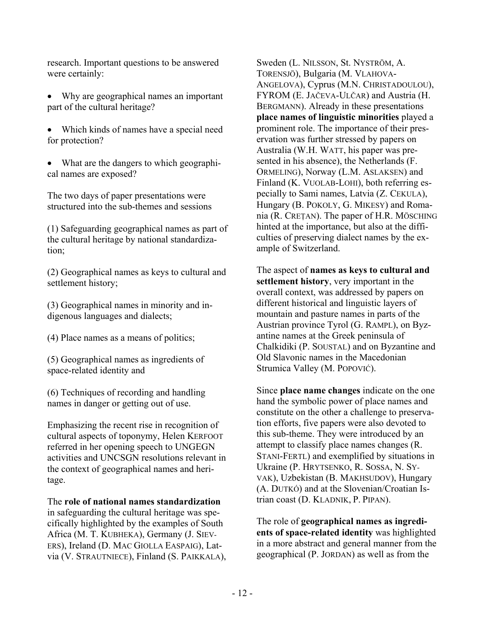research. Important questions to be answered were certainly:

- Why are geographical names an important part of the cultural heritage?
- Which kinds of names have a special need for protection?
- What are the dangers to which geographical names are exposed?

The two days of paper presentations were structured into the sub-themes and sessions

(1) Safeguarding geographical names as part of the cultural heritage by national standardization;

(2) Geographical names as keys to cultural and settlement history;

(3) Geographical names in minority and indigenous languages and dialects;

(4) Place names as a means of politics;

(5) Geographical names as ingredients of space-related identity and

(6) Techniques of recording and handling names in danger or getting out of use.

Emphasizing the recent rise in recognition of cultural aspects of toponymy, Helen KERFOOT referred in her opening speech to UNGEGN activities and UNCSGN resolutions relevant in the context of geographical names and heritage.

The **role of national names standardization** in safeguarding the cultural heritage was specifically highlighted by the examples of South Africa (M. T. KUBHEKA), Germany (J. SIEV-ERS), Ireland (D. MAC GIOLLA EASPAIG), Latvia (V. STRAUTNIECE), Finland (S. PAIKKALA),

Sweden (L. NILSSON, St. NYSTRÖM, A. TORENSJÖ), Bulgaria (M. VLAHOVA-ANGELOVA), Cyprus (M.N. CHRISTADOULOU), FYROM (E. JAČEVA-ULČAR) and Austria (H. BERGMANN). Already in these presentations **place names of linguistic minorities** played a prominent role. The importance of their preservation was further stressed by papers on Australia (W.H. WATT, his paper was presented in his absence), the Netherlands (F. ORMELING), Norway (L.M. ASLAKSEN) and Finland (K. VUOLAB-LOHI), both referring especially to Sami names, Latvia (Z. CEKULA), Hungary (B. POKOLY, G. MIKESY) and Romania (R. CREŢAN). The paper of H.R. MÖSCHING hinted at the importance, but also at the difficulties of preserving dialect names by the example of Switzerland.

The aspect of **names as keys to cultural and settlement history**, very important in the overall context, was addressed by papers on different historical and linguistic layers of mountain and pasture names in parts of the Austrian province Tyrol (G. RAMPL), on Byzantine names at the Greek peninsula of Chalkidiki (P. SOUSTAL) and on Byzantine and Old Slavonic names in the Macedonian Strumica Valley (M. POPOVIĆ).

Since **place name changes** indicate on the one hand the symbolic power of place names and constitute on the other a challenge to preservation efforts, five papers were also devoted to this sub-theme. They were introduced by an attempt to classify place names changes (R. STANI-FERTL) and exemplified by situations in Ukraine (P. HRYTSENKO, R. SOSSA, N. SY-VAK), Uzbekistan (B. MAKHSUDOV), Hungary (A. DUTKÓ) and at the Slovenian/Croatian Istrian coast (D. KLADNIK, P. PIPAN).

The role of **geographical names as ingredients of space-related identity** was highlighted in a more abstract and general manner from the geographical (P. JORDAN) as well as from the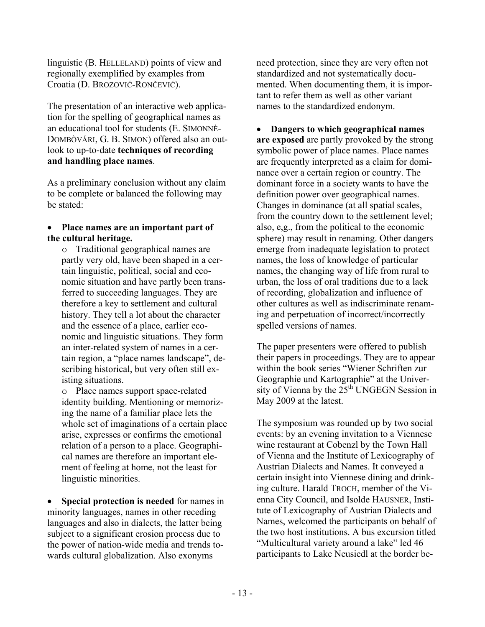linguistic (B. HELLELAND) points of view and regionally exemplified by examples from Croatia (D. BROZOVIĆ-RONČEVIĆ).

The presentation of an interactive web application for the spelling of geographical names as an educational tool for students (E. SIMONNÈ-DOMBÒVÁRI, G. B. SIMON) offered also an outlook to up-to-date **techniques of recording and handling place names**.

As a preliminary conclusion without any claim to be complete or balanced the following may be stated:

#### • **Place names are an important part of the cultural heritage.**

o Traditional geographical names are partly very old, have been shaped in a certain linguistic, political, social and economic situation and have partly been transferred to succeeding languages. They are therefore a key to settlement and cultural history. They tell a lot about the character and the essence of a place, earlier economic and linguistic situations. They form an inter-related system of names in a certain region, a "place names landscape", describing historical, but very often still existing situations.

o Place names support space-related identity building. Mentioning or memorizing the name of a familiar place lets the whole set of imaginations of a certain place arise, expresses or confirms the emotional relation of a person to a place. Geographical names are therefore an important element of feeling at home, not the least for linguistic minorities.

• **Special protection is needed** for names in minority languages, names in other receding languages and also in dialects, the latter being subject to a significant erosion process due to the power of nation-wide media and trends towards cultural globalization. Also exonyms

need protection, since they are very often not standardized and not systematically documented. When documenting them, it is important to refer them as well as other variant names to the standardized endonym.

• **Dangers to which geographical names are exposed** are partly provoked by the strong symbolic power of place names. Place names are frequently interpreted as a claim for dominance over a certain region or country. The dominant force in a society wants to have the definition power over geographical names. Changes in dominance (at all spatial scales, from the country down to the settlement level; also, e,g., from the political to the economic sphere) may result in renaming. Other dangers emerge from inadequate legislation to protect names, the loss of knowledge of particular names, the changing way of life from rural to urban, the loss of oral traditions due to a lack of recording, globalization and influence of other cultures as well as indiscriminate renaming and perpetuation of incorrect/incorrectly spelled versions of names.

The paper presenters were offered to publish their papers in proceedings. They are to appear within the book series "Wiener Schriften zur Geographie und Kartographie" at the University of Vienna by the  $25<sup>th</sup>$  UNGEGN Session in May 2009 at the latest.

The symposium was rounded up by two social events: by an evening invitation to a Viennese wine restaurant at Cobenzl by the Town Hall of Vienna and the Institute of Lexicography of Austrian Dialects and Names. It conveyed a certain insight into Viennese dining and drinking culture. Harald TROCH, member of the Vienna City Council, and Isolde HAUSNER, Institute of Lexicography of Austrian Dialects and Names, welcomed the participants on behalf of the two host institutions. A bus excursion titled "Multicultural variety around a lake" led 46 participants to Lake Neusiedl at the border be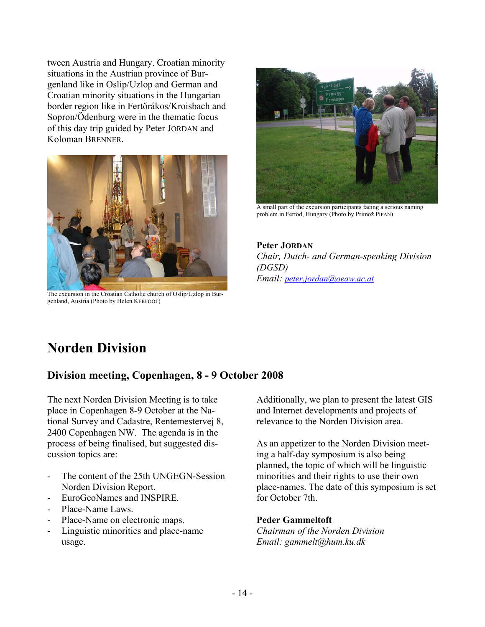tween Austria and Hungary. Croatian minority situations in the Austrian province of Burgenland like in Oslip/Uzlop and German and Croatian minority situations in the Hungarian border region like in Fertőrákos/Kroisbach and Sopron/Ödenburg were in the thematic focus of this day trip guided by Peter JORDAN and Koloman BRENNER.



The excursion in the Croatian Catholic church of Oslip/Uzlop in Burgenland, Austria (Photo by Helen KERFOOT)



A small part of the excursion participants facing a serious naming problem in Fertőd, Hungary (Photo by Primož PIPAN)

**Peter JORDAN** *Chair, Dutch- and German-speaking Division (DGSD) Email: peter.jordan@oeaw.ac.at*

# **Norden Division**

# **Division meeting, Copenhagen, 8 - 9 October 2008**

The next Norden Division Meeting is to take place in Copenhagen 8-9 October at the National Survey and Cadastre, Rentemestervej 8, 2400 Copenhagen NW. The agenda is in the process of being finalised, but suggested discussion topics are:

- The content of the 25th UNGEGN-Session Norden Division Report.
- EuroGeoNames and INSPIRE.
- Place-Name Laws.
- Place-Name on electronic maps.
- Linguistic minorities and place-name usage.

Additionally, we plan to present the latest GIS and Internet developments and projects of relevance to the Norden Division area.

As an appetizer to the Norden Division meeting a half-day symposium is also being planned, the topic of which will be linguistic minorities and their rights to use their own place-names. The date of this symposium is set for October 7th.

# **Peder Gammeltoft**

*Chairman of the Norden Division Email: gammelt@hum.ku.dk*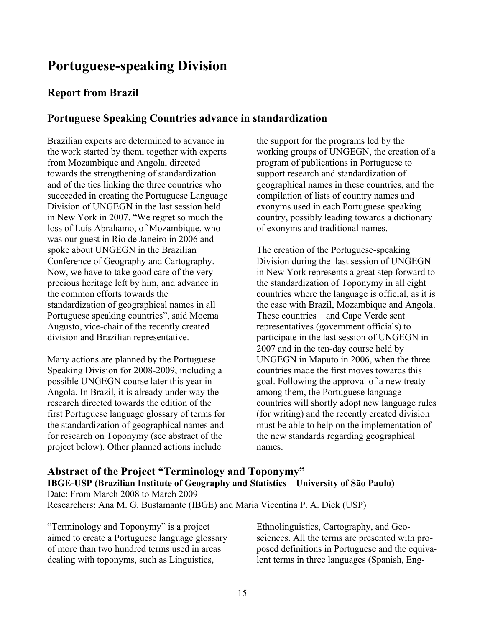# **Portuguese-speaking Division**

# **Report from Brazil**

# **Portuguese Speaking Countries advance in standardization**

Brazilian experts are determined to advance in the work started by them, together with experts from Mozambique and Angola, directed towards the strengthening of standardization and of the ties linking the three countries who succeeded in creating the Portuguese Language Division of UNGEGN in the last session held in New York in 2007. "We regret so much the loss of Luís Abrahamo, of Mozambique, who was our guest in Rio de Janeiro in 2006 and spoke about UNGEGN in the Brazilian Conference of Geography and Cartography. Now, we have to take good care of the very precious heritage left by him, and advance in the common efforts towards the standardization of geographical names in all Portuguese speaking countries", said Moema Augusto, vice-chair of the recently created division and Brazilian representative.

Many actions are planned by the Portuguese Speaking Division for 2008-2009, including a possible UNGEGN course later this year in Angola. In Brazil, it is already under way the research directed towards the edition of the first Portuguese language glossary of terms for the standardization of geographical names and for research on Toponymy (see abstract of the project below). Other planned actions include

the support for the programs led by the working groups of UNGEGN, the creation of a program of publications in Portuguese to support research and standardization of geographical names in these countries, and the compilation of lists of country names and exonyms used in each Portuguese speaking country, possibly leading towards a dictionary of exonyms and traditional names.

The creation of the Portuguese-speaking Division during the last session of UNGEGN in New York represents a great step forward to the standardization of Toponymy in all eight countries where the language is official, as it is the case with Brazil, Mozambique and Angola. These countries – and Cape Verde sent representatives (government officials) to participate in the last session of UNGEGN in 2007 and in the ten-day course held by UNGEGN in Maputo in 2006, when the three countries made the first moves towards this goal. Following the approval of a new treaty among them, the Portuguese language countries will shortly adopt new language rules (for writing) and the recently created division must be able to help on the implementation of the new standards regarding geographical names.

# **Abstract of the Project "Terminology and Toponymy" IBGE-USP (Brazilian Institute of Geography and Statistics – University of São Paulo)**  Date: From March 2008 to March 2009 Researchers: Ana M. G. Bustamante (IBGE) and Maria Vicentina P. A. Dick (USP)

"Terminology and Toponymy" is a project aimed to create a Portuguese language glossary of more than two hundred terms used in areas dealing with toponyms, such as Linguistics,

Ethnolinguistics, Cartography, and Geosciences. All the terms are presented with proposed definitions in Portuguese and the equivalent terms in three languages (Spanish, Eng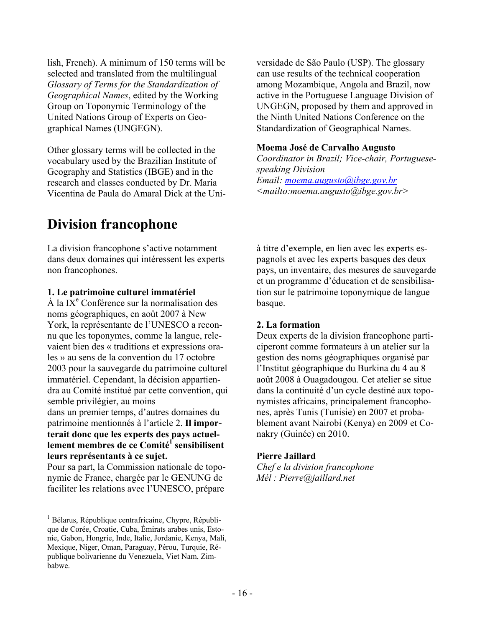lish, French). A minimum of 150 terms will be selected and translated from the multilingual *Glossary of Terms for the Standardization of Geographical Names*, edited by the Working Group on Toponymic Terminology of the United Nations Group of Experts on Geographical Names (UNGEGN).

Other glossary terms will be collected in the vocabulary used by the Brazilian Institute of Geography and Statistics (IBGE) and in the research and classes conducted by Dr. Maria Vicentina de Paula do Amaral Dick at the Uni-

# **Division francophone**

La division francophone s'active notamment dans deux domaines qui intéressent les experts non francophones.

#### **1. Le patrimoine culturel immatériel**

 $\hat{A}$  la IX<sup>e</sup> Conférence sur la normalisation des noms géographiques, en août 2007 à New York, la représentante de l'UNESCO a reconnu que les toponymes, comme la langue, relevaient bien des « traditions et expressions orales » au sens de la convention du 17 octobre 2003 pour la sauvegarde du patrimoine culturel immatériel. Cependant, la décision appartiendra au Comité institué par cette convention, qui semble privilégier, au moins dans un premier temps, d'autres domaines du patrimoine mentionnés à l'article 2. **Il importerait donc que les experts des pays actuel**lement membres de ce Comité<sup>1</sup> sensibilisent **leurs représentants à ce sujet.**

Pour sa part, la Commission nationale de toponymie de France, chargée par le GENUNG de faciliter les relations avec l'UNESCO, prépare

 $\overline{a}$ 

versidade de São Paulo (USP). The glossary can use results of the technical cooperation among Mozambique, Angola and Brazil, now active in the Portuguese Language Division of UNGEGN, proposed by them and approved in the Ninth United Nations Conference on the Standardization of Geographical Names.

#### **Moema José de Carvalho Augusto**

*Coordinator in Brazil; Vice-chair, Portuguesespeaking Division Email: moema.augusto@ibge.gov.br <mailto:moema.augusto@ibge.gov.br>*

à titre d'exemple, en lien avec les experts espagnols et avec les experts basques des deux pays, un inventaire, des mesures de sauvegarde et un programme d'éducation et de sensibilisation sur le patrimoine toponymique de langue basque.

# **2. La formation**

Deux experts de la division francophone participeront comme formateurs à un atelier sur la gestion des noms géographiques organisé par l'Institut géographique du Burkina du 4 au 8 août 2008 à Ouagadougou. Cet atelier se situe dans la continuité d'un cycle destiné aux toponymistes africains, principalement francophones, après Tunis (Tunisie) en 2007 et probablement avant Nairobi (Kenya) en 2009 et Conakry (Guinée) en 2010.

# **Pierre Jaillard**

*Chef e la division francophone Mél : Pierre@jaillard.net* 

<sup>&</sup>lt;sup>1</sup> Bélarus, République centrafricaine, Chypre, République de Corée, Croatie, Cuba, Émirats arabes unis, Estonie, Gabon, Hongrie, Inde, Italie, Jordanie, Kenya, Mali, Mexique, Niger, Oman, Paraguay, Pérou, Turquie, République bolivarienne du Venezuela, Viet Nam, Zimbabwe.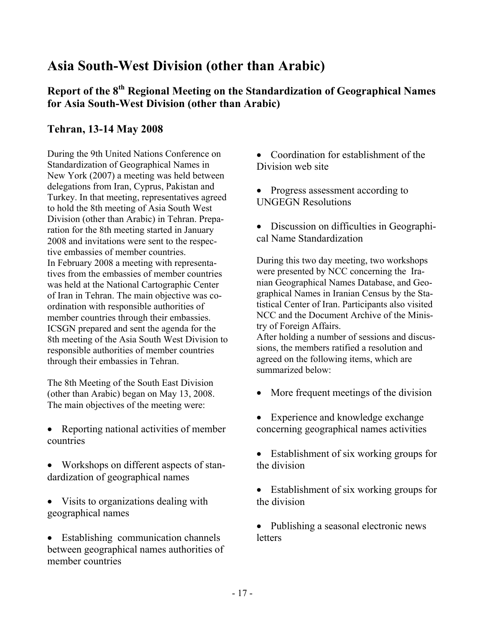# **Asia South-West Division (other than Arabic)**

# **Report of the 8th Regional Meeting on the Standardization of Geographical Names for Asia South-West Division (other than Arabic)**

# **Tehran, 13-14 May 2008**

During the 9th United Nations Conference on Standardization of Geographical Names in New York (2007) a meeting was held between delegations from Iran, Cyprus, Pakistan and Turkey. In that meeting, representatives agreed to hold the 8th meeting of Asia South West Division (other than Arabic) in Tehran. Preparation for the 8th meeting started in January 2008 and invitations were sent to the respective embassies of member countries. In February 2008 a meeting with representatives from the embassies of member countries was held at the National Cartographic Center of Iran in Tehran. The main objective was coordination with responsible authorities of member countries through their embassies. ICSGN prepared and sent the agenda for the 8th meeting of the Asia South West Division to responsible authorities of member countries through their embassies in Tehran.

The 8th Meeting of the South East Division (other than Arabic) began on May 13, 2008. The main objectives of the meeting were:

- Reporting national activities of member countries
- Workshops on different aspects of standardization of geographical names
- Visits to organizations dealing with geographical names
- Establishing communication channels between geographical names authorities of member countries

• Coordination for establishment of the Division web site

• Progress assessment according to UNGEGN Resolutions

• Discussion on difficulties in Geographical Name Standardization

During this two day meeting, two workshops were presented by NCC concerning the Iranian Geographical Names Database, and Geographical Names in Iranian Census by the Statistical Center of Iran. Participants also visited NCC and the Document Archive of the Ministry of Foreign Affairs. After holding a number of sessions and discus-

sions, the members ratified a resolution and agreed on the following items, which are summarized below:

- More frequent meetings of the division
- Experience and knowledge exchange concerning geographical names activities
- Establishment of six working groups for the division
- Establishment of six working groups for the division

• Publishing a seasonal electronic news letters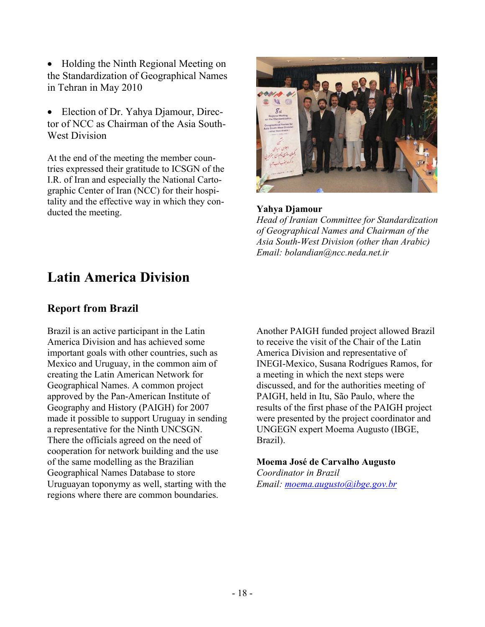• Holding the Ninth Regional Meeting on the Standardization of Geographical Names in Tehran in May 2010

• Election of Dr. Yahya Djamour, Director of NCC as Chairman of the Asia South-West Division

At the end of the meeting the member countries expressed their gratitude to ICSGN of the I.R. of Iran and especially the National Cartographic Center of Iran (NCC) for their hospitality and the effective way in which they conducted the meeting. **Yahya Djamour** 



*Head of Iranian Committee for Standardization of Geographical Names and Chairman of the Asia South-West Division (other than Arabic) Email: bolandian@ncc.neda.net.ir*

# **Latin America Division**

# **Report from Brazil**

Brazil is an active participant in the Latin America Division and has achieved some important goals with other countries, such as Mexico and Uruguay, in the common aim of creating the Latin American Network for Geographical Names. A common project approved by the Pan-American Institute of Geography and History (PAIGH) for 2007 made it possible to support Uruguay in sending a representative for the Ninth UNCSGN. There the officials agreed on the need of cooperation for network building and the use of the same modelling as the Brazilian Geographical Names Database to store Uruguayan toponymy as well, starting with the regions where there are common boundaries.

Another PAIGH funded project allowed Brazil to receive the visit of the Chair of the Latin America Division and representative of INEGI-Mexico, Susana Rodrígues Ramos, for a meeting in which the next steps were discussed, and for the authorities meeting of PAIGH, held in Itu, São Paulo, where the results of the first phase of the PAIGH project were presented by the project coordinator and UNGEGN expert Moema Augusto (IBGE, Brazil).

**Moema José de Carvalho Augusto**  *Coordinator in Brazil Email: moema.augusto@ibge.gov.br*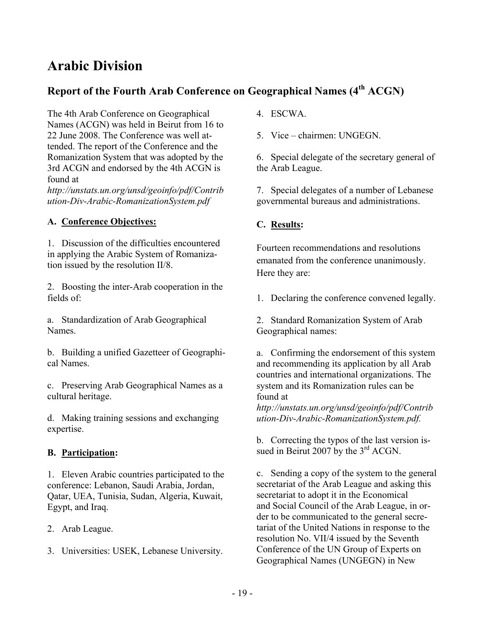# **Arabic Division**

# Report of the Fourth Arab Conference on Geographical Names (4<sup>th</sup> ACGN)

The 4th Arab Conference on Geographical Names (ACGN) was held in Beirut from 16 to 22 June 2008. The Conference was well attended. The report of the Conference and the Romanization System that was adopted by the 3rd ACGN and endorsed by the 4th ACGN is found at

*http://unstats.un.org/unsd/geoinfo/pdf/Contrib ution-Div-Arabic-RomanizationSystem.pdf* 

# **A. Conference Objectives:**

1. Discussion of the difficulties encountered in applying the Arabic System of Romanization issued by the resolution II/8.

2. Boosting the inter-Arab cooperation in the fields of:

a. Standardization of Arab Geographical Names.

b. Building a unified Gazetteer of Geographical Names.

c. Preserving Arab Geographical Names as a cultural heritage.

d. Making training sessions and exchanging expertise.

# **B. Participation:**

1. Eleven Arabic countries participated to the conference: Lebanon, Saudi Arabia, Jordan, Qatar, UEA, Tunisia, Sudan, Algeria, Kuwait, Egypt, and Iraq.

- 2. Arab League.
- 3. Universities: USEK, Lebanese University.
- 4. ESCWA.
- 5. Vice chairmen: UNGEGN.

6. Special delegate of the secretary general of the Arab League.

7. Special delegates of a number of Lebanese governmental bureaus and administrations.

# **C. Results:**

Fourteen recommendations and resolutions emanated from the conference unanimously. Here they are:

1. Declaring the conference convened legally.

2. Standard Romanization System of Arab Geographical names:

a. Confirming the endorsement of this system and recommending its application by all Arab countries and international organizations. The system and its Romanization rules can be found at

*http://unstats.un.org/unsd/geoinfo/pdf/Contrib ution-Div-Arabic-RomanizationSystem.pdf.*

b. Correcting the typos of the last version issued in Beirut 2007 by the  $3<sup>rd</sup>$  ACGN.

c. Sending a copy of the system to the general secretariat of the Arab League and asking this secretariat to adopt it in the Economical and Social Council of the Arab League, in order to be communicated to the general secretariat of the United Nations in response to the resolution No. VII/4 issued by the Seventh Conference of the UN Group of Experts on Geographical Names (UNGEGN) in New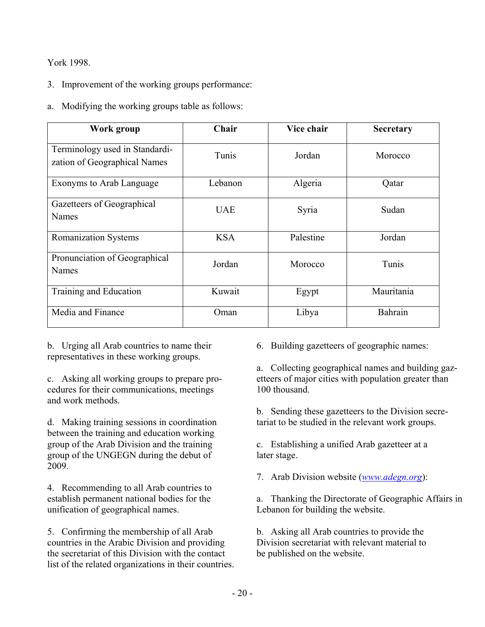# York 1998.

- 3. Improvement of the working groups performance:
- a. Modifying the working groups table as follows:

| Work group                                                     | Chair      | Vice chair | <b>Secretary</b> |
|----------------------------------------------------------------|------------|------------|------------------|
| Terminology used in Standardi-<br>zation of Geographical Names | Tunis      | Jordan     | Morocco          |
| Exonyms to Arab Language                                       | Lebanon    | Algeria    | Qatar            |
| Gazetteers of Geographical<br><b>Names</b>                     | <b>UAE</b> | Syria      | Sudan            |
| <b>Romanization Systems</b>                                    | <b>KSA</b> | Palestine  | Jordan           |
| Pronunciation of Geographical<br><b>Names</b>                  | Jordan     | Morocco    | Tunis            |
| Training and Education                                         | Kuwait     | Egypt      | Mauritania       |
| Media and Finance                                              | Oman       | Libya      | Bahrain          |

b. Urging all Arab countries to name their representatives in these working groups.

c. Asking all working groups to prepare procedures for their communications, meetings and work methods.

d. Making training sessions in coordination between the training and education working group of the Arab Division and the training group of the UNGEGN during the debut of 2009.

4. Recommending to all Arab countries to establish permanent national bodies for the unification of geographical names.

5. Confirming the membership of all Arab countries in the Arabic Division and providing the secretariat of this Division with the contact list of the related organizations in their countries. 6. Building gazetteers of geographic names:

a. Collecting geographical names and building gazetteers of major cities with population greater than 100 thousand.

b. Sending these gazetteers to the Division secretariat to be studied in the relevant work groups.

c. Establishing a unified Arab gazetteer at a later stage.

7. Arab Division website (*www.adegn.org*):

a. Thanking the Directorate of Geographic Affairs in Lebanon for building the website.

b. Asking all Arab countries to provide the Division secretariat with relevant material to be published on the website.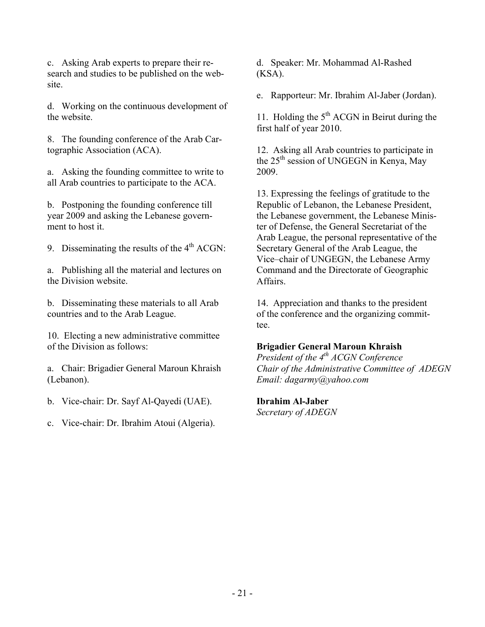c. Asking Arab experts to prepare their research and studies to be published on the website.

d. Working on the continuous development of the website.

8. The founding conference of the Arab Cartographic Association (ACA).

a. Asking the founding committee to write to all Arab countries to participate to the ACA.

b. Postponing the founding conference till year 2009 and asking the Lebanese government to host it.

9. Disseminating the results of the  $4<sup>th</sup>$  ACGN:

a. Publishing all the material and lectures on the Division website.

b. Disseminating these materials to all Arab countries and to the Arab League.

10. Electing a new administrative committee of the Division as follows:

a. Chair: Brigadier General Maroun Khraish (Lebanon).

b. Vice-chair: Dr. Sayf Al-Qayedi (UAE).

c. Vice-chair: Dr. Ibrahim Atoui (Algeria).

d. Speaker: Mr. Mohammad Al-Rashed (KSA).

e. Rapporteur: Mr. Ibrahim Al-Jaber (Jordan).

11. Holding the  $5<sup>th</sup> ACGN$  in Beirut during the first half of year 2010.

12. Asking all Arab countries to participate in the  $25<sup>th</sup>$  session of UNGEGN in Kenya, May 2009.

13. Expressing the feelings of gratitude to the Republic of Lebanon, the Lebanese President, the Lebanese government, the Lebanese Minister of Defense, the General Secretariat of the Arab League, the personal representative of the Secretary General of the Arab League, the Vice–chair of UNGEGN, the Lebanese Army Command and the Directorate of Geographic Affairs.

14. Appreciation and thanks to the president of the conference and the organizing committee.

# **Brigadier General Maroun Khraish**

*President of the 4th ACGN Conference Chair of the Administrative Committee of ADEGN Email: dagarmy@yahoo.com* 

#### **Ibrahim Al-Jaber**

*Secretary of ADEGN*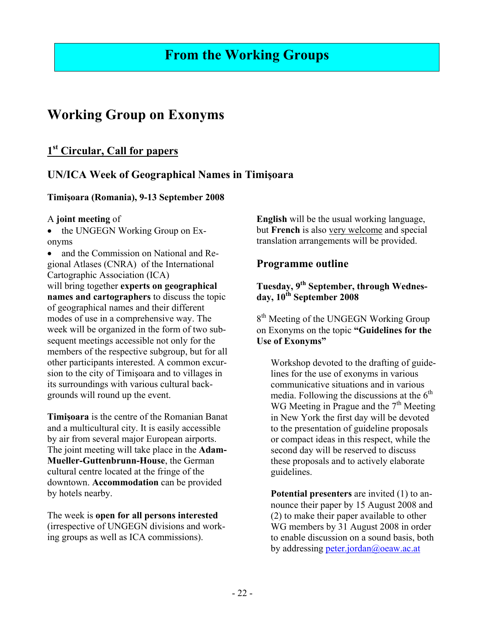# **Working Group on Exonyms**

# **1st Circular, Call for papers**

# **UN/ICA Week of Geographical Names in Timişoara**

# **Timişoara (Romania), 9-13 September 2008**

# A **joint meeting** of

• the UNGEGN Working Group on Exonyms

• and the Commission on National and Regional Atlases (CNRA) of the International Cartographic Association (ICA) will bring together **experts on geographical names and cartographers** to discuss the topic of geographical names and their different modes of use in a comprehensive way. The week will be organized in the form of two subsequent meetings accessible not only for the members of the respective subgroup, but for all other participants interested. A common excursion to the city of Timişoara and to villages in its surroundings with various cultural backgrounds will round up the event.

**Timişoara** is the centre of the Romanian Banat and a multicultural city. It is easily accessible by air from several major European airports. The joint meeting will take place in the **Adam-Mueller-Guttenbrunn-House**, the German cultural centre located at the fringe of the downtown. **Accommodation** can be provided by hotels nearby.

The week is **open for all persons interested** (irrespective of UNGEGN divisions and working groups as well as ICA commissions).

**English** will be the usual working language, but **French** is also very welcome and special translation arrangements will be provided.

# **Programme outline**

# **Tuesday, 9th September, through Wednesday, 10th September 2008**

8<sup>th</sup> Meeting of the UNGEGN Working Group on Exonyms on the topic **"Guidelines for the Use of Exonyms"** 

Workshop devoted to the drafting of guidelines for the use of exonyms in various communicative situations and in various media. Following the discussions at the  $6<sup>th</sup>$ WG Meeting in Prague and the  $7<sup>th</sup>$  Meeting in New York the first day will be devoted to the presentation of guideline proposals or compact ideas in this respect, while the second day will be reserved to discuss these proposals and to actively elaborate guidelines.

**Potential presenters** are invited (1) to announce their paper by 15 August 2008 and (2) to make their paper available to other WG members by 31 August 2008 in order to enable discussion on a sound basis, both by addressing peter.jordan@oeaw.ac.at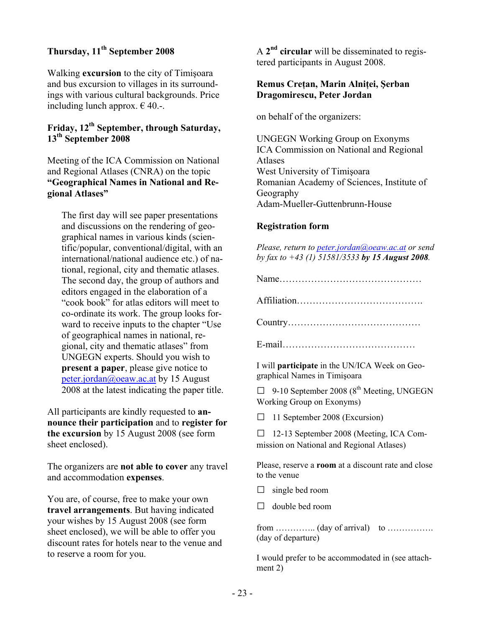# **Thursday, 11th September 2008**

Walking **excursion** to the city of Timişoara and bus excursion to villages in its surroundings with various cultural backgrounds. Price including lunch approx.  $\in$  40.-.

# **Friday, 12th September, through Saturday, 13th September 2008**

Meeting of the ICA Commission on National and Regional Atlases (CNRA) on the topic **"Geographical Names in National and Regional Atlases"** 

The first day will see paper presentations and discussions on the rendering of geographical names in various kinds (scientific/popular, conventional/digital, with an international/national audience etc.) of national, regional, city and thematic atlases. The second day, the group of authors and editors engaged in the elaboration of a "cook book" for atlas editors will meet to co-ordinate its work. The group looks forward to receive inputs to the chapter "Use of geographical names in national, regional, city and thematic atlases" from UNGEGN experts. Should you wish to **present a paper**, please give notice to peter.jordan@oeaw.ac.at by 15 August 2008 at the latest indicating the paper title.

All participants are kindly requested to **announce their participation** and to **register for the excursion** by 15 August 2008 (see form sheet enclosed).

The organizers are **not able to cover** any travel and accommodation **expenses**.

You are, of course, free to make your own **travel arrangements**. But having indicated your wishes by 15 August 2008 (see form sheet enclosed), we will be able to offer you discount rates for hotels near to the venue and to reserve a room for you.

A **2nd circular** will be disseminated to registered participants in August 2008.

#### **Remus Creţan, Marin Alniţei, Şerban Dragomirescu, Peter Jordan**

on behalf of the organizers:

UNGEGN Working Group on Exonyms ICA Commission on National and Regional Atlases West University of Timişoara Romanian Academy of Sciences, Institute of Geography Adam-Mueller-Guttenbrunn-House

# **Registration form**

*Please, return to peter.jordan@oeaw.ac.at or send by fax to +43 (1) 51581/3533 by 15 August 2008.* 

Name………………………………………

Affiliation………………………………….

Country……………………………………

E-mail……………………………………

I will **participate** in the UN/ICA Week on Geographical Names in Timişoara

 $\Box$  9-10 September 2008 (8<sup>th</sup> Meeting, UNGEGN Working Group on Exonyms)

□ 11 September 2008 (Excursion)

□ 12-13 September 2008 (Meeting, ICA Commission on National and Regional Atlases)

Please, reserve a **room** at a discount rate and close to the venue

 $\Box$  single bed room

 $\Box$  double bed room

from  $\ldots$   $\ldots$   $\ldots$   $\ldots$   $\ldots$   $\ldots$   $\ldots$   $\ldots$   $\ldots$ (day of departure)

I would prefer to be accommodated in (see attachment 2)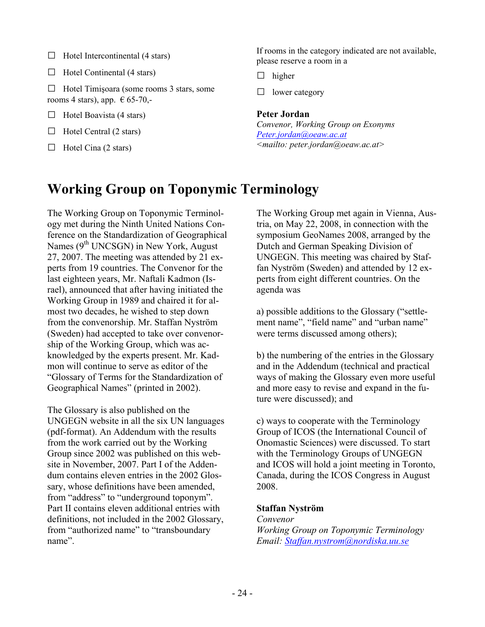- $\Box$  Hotel Intercontinental (4 stars)
- $\Box$  Hotel Continental (4 stars)

 $\Box$  Hotel Timisoara (some rooms 3 stars, some rooms 4 stars), app.  $\epsilon$  65-70,-

- $\Box$  Hotel Boavista (4 stars)
- $\Box$  Hotel Central (2 stars)
- $\Box$  Hotel Cina (2 stars)

If rooms in the category indicated are not available, please reserve a room in a

- $\Box$  higher
- □ lower category

#### **Peter Jordan**

*Convenor, Working Group on Exonyms Peter.jordan@oeaw.ac.at <mailto: peter.jordan@oeaw.ac.at>*

# **Working Group on Toponymic Terminology**

The Working Group on Toponymic Terminology met during the Ninth United Nations Conference on the Standardization of Geographical Names  $(9<sup>th</sup> UNESCO)$  in New York, August 27, 2007. The meeting was attended by 21 experts from 19 countries. The Convenor for the last eighteen years, Mr. Naftali Kadmon (Israel), announced that after having initiated the Working Group in 1989 and chaired it for almost two decades, he wished to step down from the convenorship. Mr. Staffan Nyström (Sweden) had accepted to take over convenorship of the Working Group, which was acknowledged by the experts present. Mr. Kadmon will continue to serve as editor of the "Glossary of Terms for the Standardization of Geographical Names" (printed in 2002).

The Glossary is also published on the UNGEGN website in all the six UN languages (pdf-format). An Addendum with the results from the work carried out by the Working Group since 2002 was published on this website in November, 2007. Part I of the Addendum contains eleven entries in the 2002 Glossary, whose definitions have been amended, from "address" to "underground toponym". Part II contains eleven additional entries with definitions, not included in the 2002 Glossary, from "authorized name" to "transboundary name".

The Working Group met again in Vienna, Austria, on May 22, 2008, in connection with the symposium GeoNames 2008, arranged by the Dutch and German Speaking Division of UNGEGN. This meeting was chaired by Staffan Nyström (Sweden) and attended by 12 experts from eight different countries. On the agenda was

a) possible additions to the Glossary ("settlement name", "field name" and "urban name" were terms discussed among others);

b) the numbering of the entries in the Glossary and in the Addendum (technical and practical ways of making the Glossary even more useful and more easy to revise and expand in the future were discussed); and

c) ways to cooperate with the Terminology Group of ICOS (the International Council of Onomastic Sciences) were discussed. To start with the Terminology Groups of UNGEGN and ICOS will hold a joint meeting in Toronto, Canada, during the ICOS Congress in August 2008.

# **Staffan Nyström**

#### *Convenor Working Group on Toponymic Terminology Email: Staffan.nystrom@nordiska.uu.se*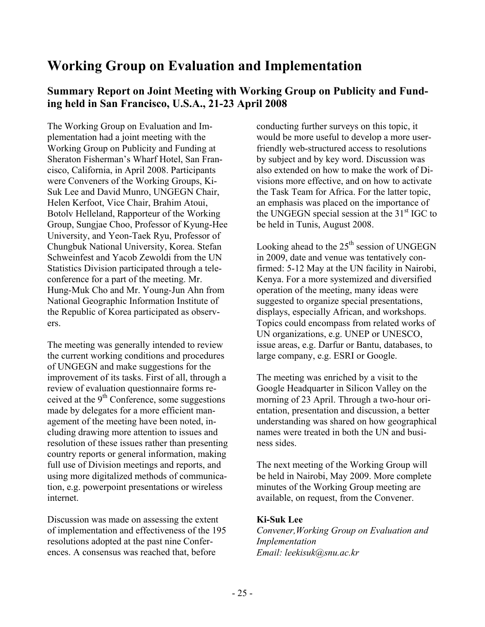# **Working Group on Evaluation and Implementation**

# **Summary Report on Joint Meeting with Working Group on Publicity and Funding held in San Francisco, U.S.A., 21-23 April 2008**

The Working Group on Evaluation and Implementation had a joint meeting with the Working Group on Publicity and Funding at Sheraton Fisherman's Wharf Hotel, San Francisco, California, in April 2008. Participants were Conveners of the Working Groups, Ki-Suk Lee and David Munro, UNGEGN Chair, Helen Kerfoot, Vice Chair, Brahim Atoui, Botolv Helleland, Rapporteur of the Working Group, Sungjae Choo, Professor of Kyung-Hee University, and Yeon-Taek Ryu, Professor of Chungbuk National University, Korea. Stefan Schweinfest and Yacob Zewoldi from the UN Statistics Division participated through a teleconference for a part of the meeting. Mr. Hung-Muk Cho and Mr. Young-Jun Ahn from National Geographic Information Institute of the Republic of Korea participated as observers.

The meeting was generally intended to review the current working conditions and procedures of UNGEGN and make suggestions for the improvement of its tasks. First of all, through a review of evaluation questionnaire forms received at the  $9<sup>th</sup>$  Conference, some suggestions made by delegates for a more efficient management of the meeting have been noted, including drawing more attention to issues and resolution of these issues rather than presenting country reports or general information, making full use of Division meetings and reports, and using more digitalized methods of communication, e.g. powerpoint presentations or wireless internet.

Discussion was made on assessing the extent of implementation and effectiveness of the 195 resolutions adopted at the past nine Conferences. A consensus was reached that, before

conducting further surveys on this topic, it would be more useful to develop a more userfriendly web-structured access to resolutions by subject and by key word. Discussion was also extended on how to make the work of Divisions more effective, and on how to activate the Task Team for Africa. For the latter topic, an emphasis was placed on the importance of the UNGEGN special session at the  $31<sup>st</sup>$  IGC to be held in Tunis, August 2008.

Looking ahead to the  $25<sup>th</sup>$  session of UNGEGN in 2009, date and venue was tentatively confirmed: 5-12 May at the UN facility in Nairobi, Kenya. For a more systemized and diversified operation of the meeting, many ideas were suggested to organize special presentations, displays, especially African, and workshops. Topics could encompass from related works of UN organizations, e.g. UNEP or UNESCO, issue areas, e.g. Darfur or Bantu, databases, to large company, e.g. ESRI or Google.

The meeting was enriched by a visit to the Google Headquarter in Silicon Valley on the morning of 23 April. Through a two-hour orientation, presentation and discussion, a better understanding was shared on how geographical names were treated in both the UN and business sides.

The next meeting of the Working Group will be held in Nairobi, May 2009. More complete minutes of the Working Group meeting are available, on request, from the Convener.

# **Ki-Suk Lee**

*Convener,Working Group on Evaluation and Implementation Email: leekisuk@snu.ac.kr*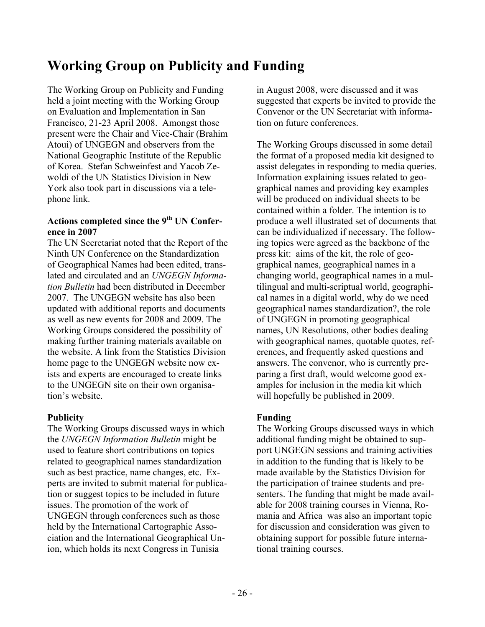# **Working Group on Publicity and Funding**

The Working Group on Publicity and Funding held a joint meeting with the Working Group on Evaluation and Implementation in San Francisco, 21-23 April 2008. Amongst those present were the Chair and Vice-Chair (Brahim Atoui) of UNGEGN and observers from the National Geographic Institute of the Republic of Korea. Stefan Schweinfest and Yacob Zewoldi of the UN Statistics Division in New York also took part in discussions via a telephone link.

# **Actions completed since the 9th UN Conference in 2007**

The UN Secretariat noted that the Report of the Ninth UN Conference on the Standardization of Geographical Names had been edited, translated and circulated and an *UNGEGN Information Bulletin* had been distributed in December 2007. The UNGEGN website has also been updated with additional reports and documents as well as new events for 2008 and 2009. The Working Groups considered the possibility of making further training materials available on the website. A link from the Statistics Division home page to the UNGEGN website now exists and experts are encouraged to create links to the UNGEGN site on their own organisation's website.

# **Publicity**

The Working Groups discussed ways in which the *UNGEGN Information Bulletin* might be used to feature short contributions on topics related to geographical names standardization such as best practice, name changes, etc. Experts are invited to submit material for publication or suggest topics to be included in future issues. The promotion of the work of UNGEGN through conferences such as those held by the International Cartographic Association and the International Geographical Union, which holds its next Congress in Tunisia

in August 2008, were discussed and it was suggested that experts be invited to provide the Convenor or the UN Secretariat with information on future conferences.

The Working Groups discussed in some detail the format of a proposed media kit designed to assist delegates in responding to media queries. Information explaining issues related to geographical names and providing key examples will be produced on individual sheets to be contained within a folder. The intention is to produce a well illustrated set of documents that can be individualized if necessary. The following topics were agreed as the backbone of the press kit: aims of the kit, the role of geographical names, geographical names in a changing world, geographical names in a multilingual and multi-scriptual world, geographical names in a digital world, why do we need geographical names standardization?, the role of UNGEGN in promoting geographical names, UN Resolutions, other bodies dealing with geographical names, quotable quotes, references, and frequently asked questions and answers. The convenor, who is currently preparing a first draft, would welcome good examples for inclusion in the media kit which will hopefully be published in 2009.

# **Funding**

The Working Groups discussed ways in which additional funding might be obtained to support UNGEGN sessions and training activities in addition to the funding that is likely to be made available by the Statistics Division for the participation of trainee students and presenters. The funding that might be made available for 2008 training courses in Vienna, Romania and Africa was also an important topic for discussion and consideration was given to obtaining support for possible future international training courses.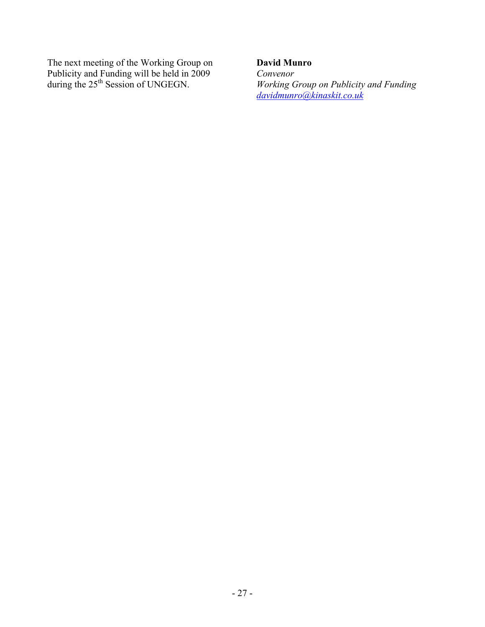The next meeting of the Working Group on Publicity and Funding will be held in 2009 during the 25<sup>th</sup> Session of UNGEGN.

# **David Munro**

*Convenor Working Group on Publicity and Funding davidmunro@kinaskit.co.uk*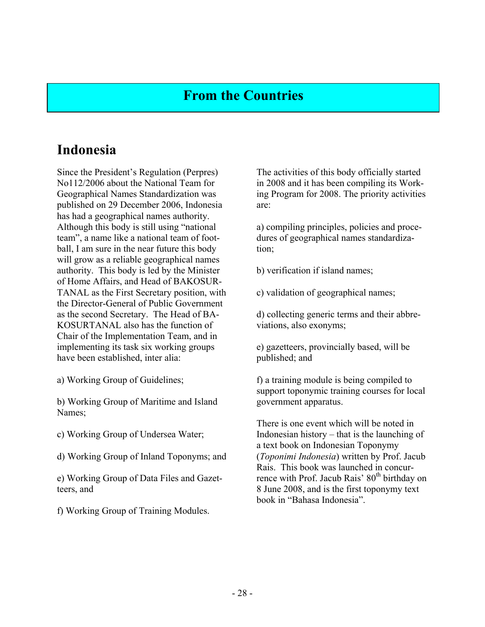# **From the Countries**

# **Indonesia**

Since the President's Regulation (Perpres) No112/2006 about the National Team for Geographical Names Standardization was published on 29 December 2006, Indonesia has had a geographical names authority. Although this body is still using "national team", a name like a national team of football, I am sure in the near future this body will grow as a reliable geographical names authority. This body is led by the Minister of Home Affairs, and Head of BAKOSUR-TANAL as the First Secretary position, with the Director-General of Public Government as the second Secretary. The Head of BA-KOSURTANAL also has the function of Chair of the Implementation Team, and in implementing its task six working groups have been established, inter alia:

a) Working Group of Guidelines;

b) Working Group of Maritime and Island Names;

c) Working Group of Undersea Water;

d) Working Group of Inland Toponyms; and

e) Working Group of Data Files and Gazetteers, and

f) Working Group of Training Modules.

The activities of this body officially started in 2008 and it has been compiling its Working Program for 2008. The priority activities are:

a) compiling principles, policies and procedures of geographical names standardization;

b) verification if island names;

c) validation of geographical names;

d) collecting generic terms and their abbreviations, also exonyms;

e) gazetteers, provincially based, will be published; and

f) a training module is being compiled to support toponymic training courses for local government apparatus.

There is one event which will be noted in Indonesian history – that is the launching of a text book on Indonesian Toponymy (*Toponimi Indonesia*) written by Prof. Jacub Rais. This book was launched in concurrence with Prof. Jacub Rais' 80<sup>th</sup> birthday on 8 June 2008, and is the first toponymy text book in "Bahasa Indonesia".